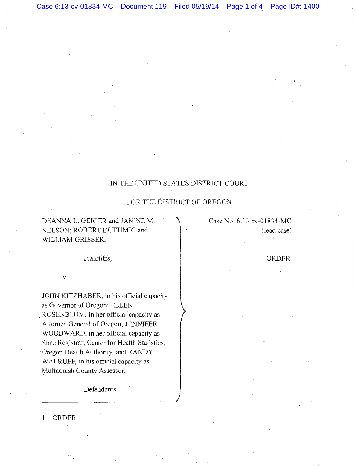## IN THE UNITED STATES DISTRICT COURT

# FOR THE DISTRICT OF OREGON

DEANNA L. GEIGER and JANINE M. NELSON; ROBERT DUEHMIG and WILLIAM GRIESER,

Case No. 6:13-cv-01834-MC (lead case)

Plaintiffs,

V.

UOHN KITZHABER, in his official capacity as Governor of Oregon; ELLEN \_ROSENBLUM, in her official"capacity as Attorney General of Oregon; JENNIFER WOODWARD, in her official capacity as State Registrar, Center for Health Statistics, 'Oregon Health Authority, and RANDY . WALRUFF, in his official capacity as Multnomah County Assessor,

Defendants.

1-0RDER

### ORDER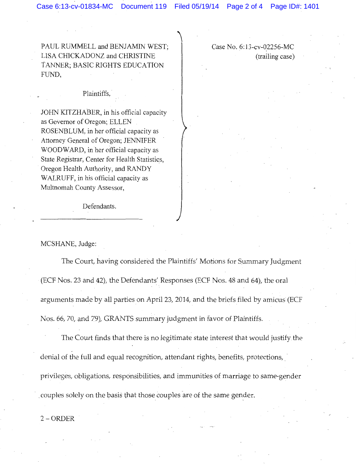PAUL RUMMELL and BENJAMIN WEST; LISA CHICKADONZ and CHRISTINE TANNER; BASIC RIGHTS EDUCATION FUND,

#### Plaintiffs,

JOHN KITZHABER, in his official capacity as Governor of Oregon; ELLEN ROSENBLUM, in her official capacity as Attorney General of Oregon; JENNIFER WOODWARD, in her official capacity as State Registrar, Center for Health Statistics, Oregon Health Authority, and RANDY WALRUFF, in his official capacity as Multnornah County Assessor,

Defendants.

MCSHANE, Judge:

The Court, having considered the Plaintiffs' Motions for Summary Judgment (ECF Nos. 23 and 42), the Defendants' Responses (ECF Nos. 48 and 64), the oral arguments made by all parties on April23, 2014, and the briefs filed by amicus (ECF Nos. 66, 70, and 79), GRANTS summary judgment in favor of Plaintiffs.

The Court finds that there is no legitimate state interest that would justify the denial of the full and equal recognition, attendant rights, benefits, protections, privileges, obligations, responsibilities, and immunities of marriage to same-gender couples solely on the basis that those couples are of the same gender.

2-0RDER

Case No. 6:13-cv-02256-MC (trailing case)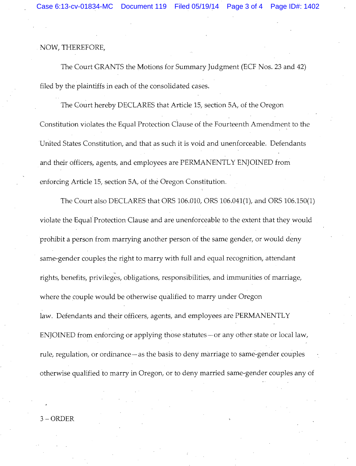## NOW, THEREFORE,

The Court GRANTS the Motions for Summary Judgment (ECF Nos. 23 and 42) filed by the plaintiffs in each of the consolidated cases.

The Court hereby DECLARES that Article 1S, section SA, of the Oregon Constitution violates the Equal Protection Clause of the Fourteenth Amendment to the United States Constitution, and that as such it is void and unenforceable. Defendants and their officers, agents, and employees are PERMANENTLY ENJOINED from enforcing Article 1S, section SA, of the Oregon Constitution.

The Court also DECLARES that ORS 106.010, ORS 106.041(1), and ORS 106.1S0(1) violate the Equal Protection Clause and are unenforceable to the extent that they would prohibit a person from marrying another person of the same gender, or would deny same-gender couples the right to marry with full and equal recognition, attendant rights, benefits, privileges, obligations, responsibilities, and immunities of marriage, where the couple would be otherwise qualified to marry under Oregon law. Defendants and their officers, agents, and employees are PERMANENTLY ENJOINED from enforcing or applying those statutes-or any other state or local law, rule, regulation, or ordinance-as the basis to deny marriage to same-gender couples otherwise qualified to marry in Oregon, or to deny married same-gender couples any of